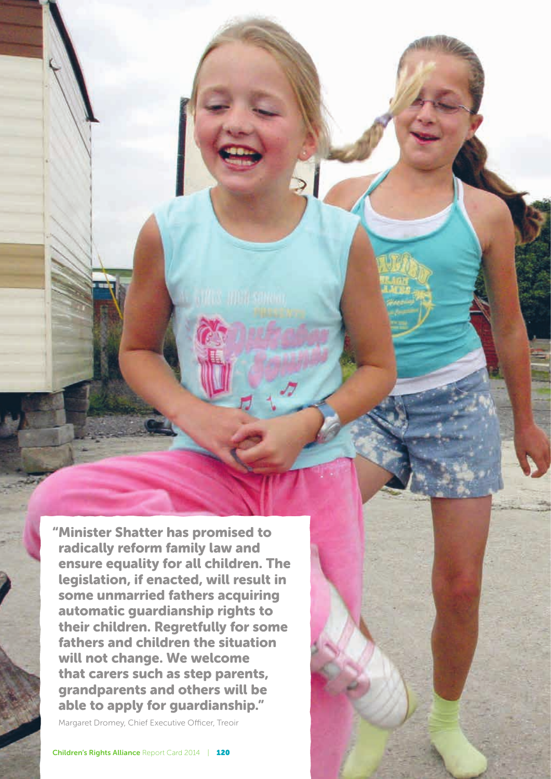"Minister Shatter has promised to radically reform family law and ensure equality for all children. The legislation, if enacted, will result in some unmarried fathers acquiring automatic guardianship rights to their children. Regretfully for some fathers and children the situation will not change. We welcome that carers such as step parents, grandparents and others will be able to apply for guardianship."

Margaret Dromey, Chief Executive Officer, Treoir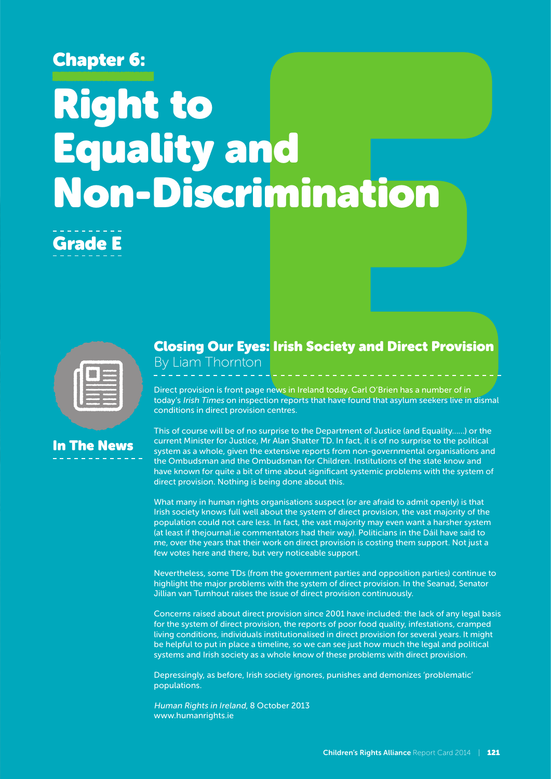# Chapter 6:

# Right to Equality and Non-Discrimination





# In The News

#### Closing Our Eyes: Irish Society and Direct Provision **By Liam Thornton**

Direct provision is front page news in Ireland today. Carl O'Brien has a number of in today's Irish Times on inspection reports that have found that asylum seekers live in dismal conditions in direct provision centres.

This of course will be of no surprise to the Department of Justice (and Equality……) or the current Minister for Justice, Mr Alan Shatter TD. In fact, it is of no surprise to the political system as a whole, given the extensive reports from non-governmental organisations and the Ombudsman and the Ombudsman for Children. Institutions of the state know and have known for quite a bit of time about significant systemic problems with the system of direct provision. Nothing is being done about this.

What many in human rights organisations suspect (or are afraid to admit openly) is that Irish society knows full well about the system of direct provision, the vast majority of the population could not care less. In fact, the vast majority may even want a harsher system (at least if thejournal.ie commentators had their way). Politicians in the Dáil have said to me, over the years that their work on direct provision is costing them support. Not just a few votes here and there, but very noticeable support.

Nevertheless, some TDs (from the government parties and opposition parties) continue to highlight the major problems with the system of direct provision. In the Seanad, Senator Jillian van Turnhout raises the issue of direct provision continuously.

Concerns raised about direct provision since 2001 have included: the lack of any legal basis for the system of direct provision, the reports of poor food quality, infestations, cramped living conditions, individuals institutionalised in direct provision for several years. It might be helpful to put in place a timeline, so we can see just how much the legal and political systems and Irish society as a whole know of these problems with direct provision.

Depressingly, as before, Irish society ignores, punishes and demonizes 'problematic' populations.

Human Rights in Ireland, 8 October 2013 www.humanrights.ie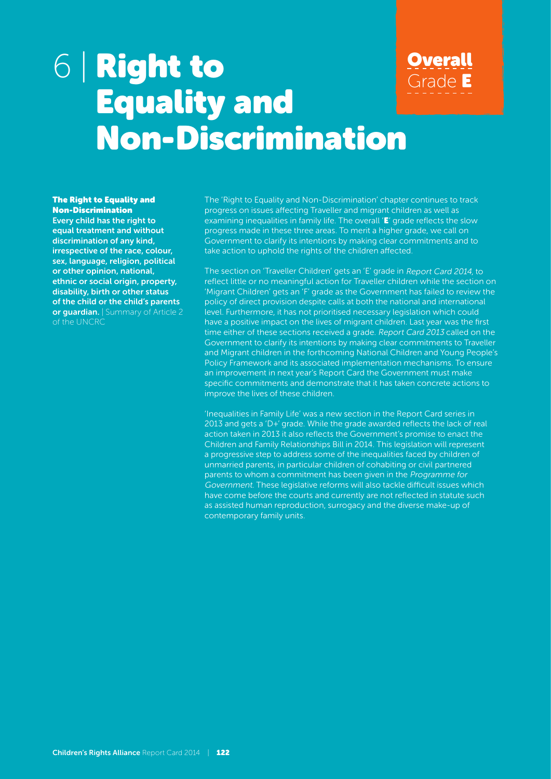# 6 | Right to Equality and Non-Discrimination **Overall** Grade E

#### **The Right to Equality and** Non-Discrimination

Every child has the right to equal treatment and without discrimination of any kind, irrespective of the race, colour, sex, language, religion, political or other opinion, national, ethnic or social origin, property, disability, birth or other status of the child or the child's parents or guardian. | Summary of Article 2 of the UNCRC

The 'Right to Equality and Non-Discrimination' chapter continues to track progress on issues affecting Traveller and migrant children as well as examining inequalities in family life. The overall 'E' grade reflects the slow progress made in these three areas. To merit a higher grade, we call on Government to clarify its intentions by making clear commitments and to take action to uphold the rights of the children affected.

The section on 'Traveller Children' gets an 'E' grade in Report Card 2014, to reflect little or no meaningful action for Traveller children while the section on 'Migrant Children' gets an 'F' grade as the Government has failed to review the policy of direct provision despite calls at both the national and international level. Furthermore, it has not prioritised necessary legislation which could have a positive impact on the lives of migrant children. Last year was the first time either of these sections received a grade. Report Card 2013 called on the Government to clarify its intentions by making clear commitments to Traveller and Migrant children in the forthcoming National Children and Young People's Policy Framework and its associated implementation mechanisms. To ensure an improvement in next year's Report Card the Government must make specific commitments and demonstrate that it has taken concrete actions to improve the lives of these children.

'Inequalities in Family Life' was a new section in the Report Card series in 2013 and gets a 'D+' grade. While the grade awarded reflects the lack of real action taken in 2013 it also reflects the Government's promise to enact the Children and Family Relationships Bill in 2014. This legislation will represent a progressive step to address some of the inequalities faced by children of unmarried parents, in particular children of cohabiting or civil partnered parents to whom a commitment has been given in the Programme for Government. These legislative reforms will also tackle difficult issues which have come before the courts and currently are not reflected in statute such as assisted human reproduction, surrogacy and the diverse make-up of contemporary family units.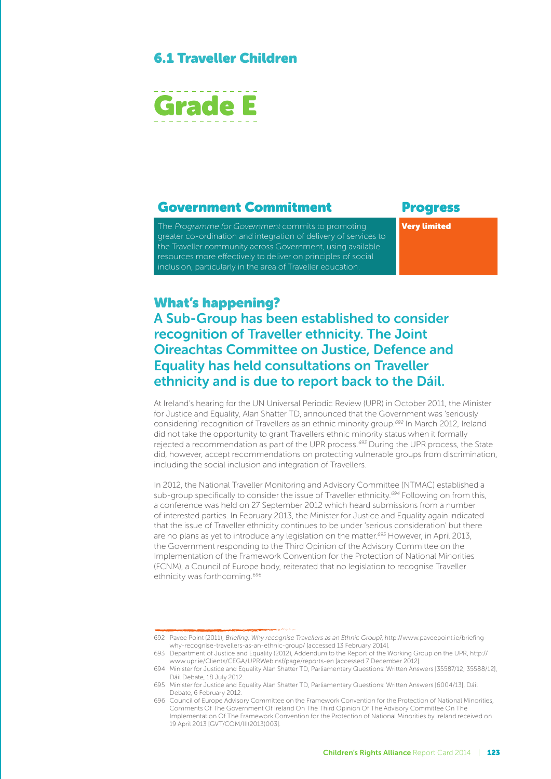#### 6.1 Traveller Children



#### Government Commitment Progress

The Programme for Government commits to promoting greater co-ordination and integration of delivery of services to the Traveller community across Government, using available resources more effectively to deliver on principles of social inclusion, particularly in the area of Traveller education.

Very limited

#### What's happening?

A Sub-Group has been established to consider recognition of Traveller ethnicity. The Joint Oireachtas Committee on Justice, Defence and Equality has held consultations on Traveller ethnicity and is due to report back to the Dáil.

At Ireland's hearing for the UN Universal Periodic Review (UPR) in October 2011, the Minister for Justice and Equality, Alan Shatter TD, announced that the Government was 'seriously considering' recognition of Travellers as an ethnic minority group.<sup>692</sup> In March 2012, Ireland did not take the opportunity to grant Travellers ethnic minority status when it formally rejected a recommendation as part of the UPR process.<sup>693</sup> During the UPR process, the State did, however, accept recommendations on protecting vulnerable groups from discrimination, including the social inclusion and integration of Travellers.

In 2012, the National Traveller Monitoring and Advisory Committee (NTMAC) established a sub-group specifically to consider the issue of Traveller ethnicity.<sup>694</sup> Following on from this, a conference was held on 27 September 2012 which heard submissions from a number of interested parties. In February 2013, the Minister for Justice and Equality again indicated that the issue of Traveller ethnicity continues to be under 'serious consideration' but there are no plans as yet to introduce any legislation on the matter.<sup>695</sup> However, in April 2013, the Government responding to the Third Opinion of the Advisory Committee on the Implementation of the Framework Convention for the Protection of National Minorities (FCNM), a Council of Europe body, reiterated that no legislation to recognise Traveller ethnicity was forthcoming.<sup>696</sup>

<sup>692</sup> Pavee Point (2011), Briefing: Why recognise Travellers as an Ethnic Group?, http://www.paveepoint.ie/briefingwhy-recognise-travellers-as-an-ethnic-group/ [accessed 13 February 2014].

<sup>693</sup> Department of Justice and Equality (2012), Addendum to the Report of the Working Group on the UPR, http:// www.upr.ie/Clients/CEGA/UPRWeb.nsf/page/reports-en [accessed 7 December 2012].

<sup>694</sup> Minister for Justice and Equality Alan Shatter TD, Parliamentary Questions: Written Answers [35587/12; 35588/12], Dáil Debate, 18 July 2012.

<sup>695</sup> Minister for Justice and Equality Alan Shatter TD, Parliamentary Questions: Written Answers [6004/13], Dáil Debate, 6 February 2012.

<sup>696</sup> Council of Europe Advisory Committee on the Framework Convention for the Protection of National Minorities, Comments Of The Government Of Ireland On The Third Opinion Of The Advisory Committee On The Implementation Of The Framework Convention for the Protection of National Minorities by Ireland received on 19 April 2013 [GVT/COM/III(2013)003].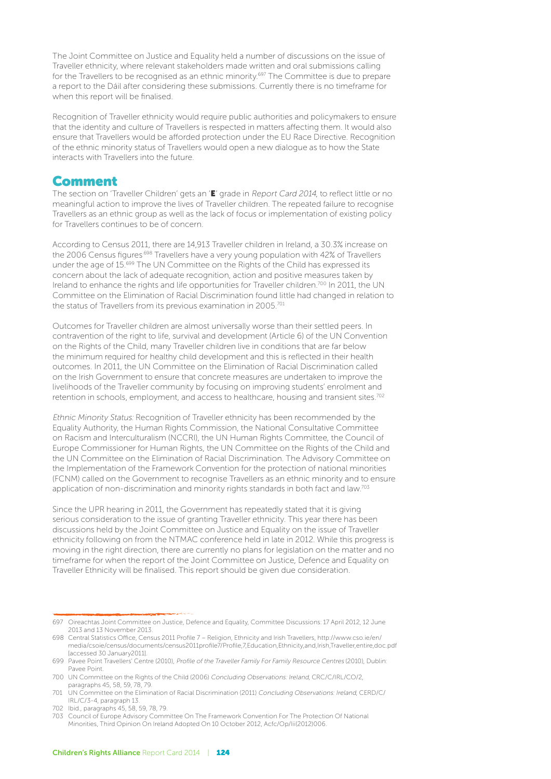The Joint Committee on Justice and Equality held a number of discussions on the issue of Traveller ethnicity, where relevant stakeholders made written and oral submissions calling for the Travellers to be recognised as an ethnic minority.<sup>697</sup> The Committee is due to prepare a report to the Dáil after considering these submissions. Currently there is no timeframe for when this report will be finalised.

Recognition of Traveller ethnicity would require public authorities and policymakers to ensure that the identity and culture of Travellers is respected in matters affecting them. It would also ensure that Travellers would be afforded protection under the EU Race Directive. Recognition of the ethnic minority status of Travellers would open a new dialogue as to how the State interacts with Travellers into the future.

#### Comment

The section on 'Traveller Children' gets an 'E' grade in Report Card 2014, to reflect little or no meaningful action to improve the lives of Traveller children. The repeated failure to recognise Travellers as an ethnic group as well as the lack of focus or implementation of existing policy for Travellers continues to be of concern.

According to Census 2011, there are 14,913 Traveller children in Ireland, a 30.3% increase on the 2006 Census figures<sup>.698</sup> Travellers have a very young population with 42% of Travellers under the age of 15.699 The UN Committee on the Rights of the Child has expressed its concern about the lack of adequate recognition, action and positive measures taken by Ireland to enhance the rights and life opportunities for Traveller children.<sup>700</sup> In 2011, the UN Committee on the Elimination of Racial Discrimination found little had changed in relation to the status of Travellers from its previous examination in 2005.<sup>701</sup>

Outcomes for Traveller children are almost universally worse than their settled peers. In contravention of the right to life, survival and development (Article 6) of the UN Convention on the Rights of the Child, many Traveller children live in conditions that are far below the minimum required for healthy child development and this is reflected in their health outcomes. In 2011, the UN Committee on the Elimination of Racial Discrimination called on the Irish Government to ensure that concrete measures are undertaken to improve the livelihoods of the Traveller community by focusing on improving students' enrolment and retention in schools, employment, and access to healthcare, housing and transient sites.<sup>702</sup>

Ethnic Minority Status: Recognition of Traveller ethnicity has been recommended by the Equality Authority, the Human Rights Commission, the National Consultative Committee on Racism and Interculturalism (NCCRI), the UN Human Rights Committee, the Council of Europe Commissioner for Human Rights, the UN Committee on the Rights of the Child and the UN Committee on the Elimination of Racial Discrimination. The Advisory Committee on the Implementation of the Framework Convention for the protection of national minorities (FCNM) called on the Government to recognise Travellers as an ethnic minority and to ensure application of non-discrimination and minority rights standards in both fact and law.<sup>703</sup>

Since the UPR hearing in 2011, the Government has repeatedly stated that it is giving serious consideration to the issue of granting Traveller ethnicity. This year there has been discussions held by the Joint Committee on Justice and Equality on the issue of Traveller ethnicity following on from the NTMAC conference held in late in 2012. While this progress is moving in the right direction, there are currently no plans for legislation on the matter and no timeframe for when the report of the Joint Committee on Justice, Defence and Equality on Traveller Ethnicity will be finalised. This report should be given due consideration.

<sup>697</sup> Oireachtas Joint Committee on Justice, Defence and Equality, Committee Discussions: 17 April 2012, 12 June 2013 and 13 November 2013.

<sup>698</sup> Central Statistics Office, Census 2011 Profile 7 – Religion, Ethnicity and Irish Travellers, http://www.cso.ie/en/ media/csoie/census/documents/census2011profile7/Profile,7,Education,Ethnicity,and,Irish,Traveller,entire,doc.pdf [accessed 30 January2011].

<sup>699</sup> Pavee Point Travellers' Centre (2010), Profile of the Traveller Family For Family Resource Centres (2010), Dublin: Pavee Point.

<sup>700</sup> UN Committee on the Rights of the Child (2006) Concluding Observations: Ireland, CRC/C/IRL/CO/2, paragraphs 45, 58, 59, 78, 79.

<sup>701</sup> UN Committee on the Elimination of Racial Discrimination (2011) Concluding Observations: Ireland, CERD/C/ IRL/C/3-4, paragraph 13.

<sup>702</sup> Ibid., paragraphs 45, 58, 59, 78, 79.

<sup>703</sup> Council of Europe Advisory Committee On The Framework Convention For The Protection Of National Minorities, Third Opinion On Ireland Adopted On 10 October 2012, Acfc/Op/Iii(2012)006.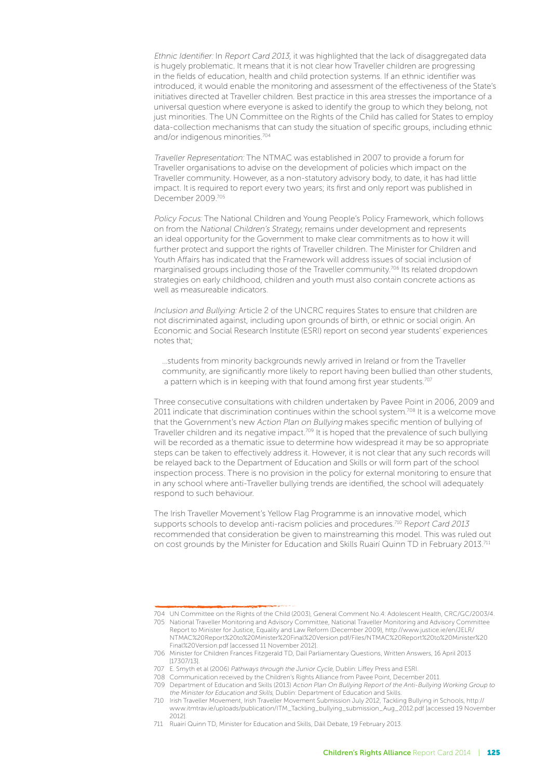Ethnic Identifier: In Report Card 2013, it was highlighted that the lack of disaggregated data is hugely problematic. It means that it is not clear how Traveller children are progressing in the fields of education, health and child protection systems. If an ethnic identifier was introduced, it would enable the monitoring and assessment of the effectiveness of the State's initiatives directed at Traveller children. Best practice in this area stresses the importance of a universal question where everyone is asked to identify the group to which they belong, not just minorities. The UN Committee on the Rights of the Child has called for States to employ data-collection mechanisms that can study the situation of specific groups, including ethnic and/or indigenous minorities.704

Traveller Representation: The NTMAC was established in 2007 to provide a forum for Traveller organisations to advise on the development of policies which impact on the Traveller community. However, as a non-statutory advisory body, to date, it has had little impact. It is required to report every two years; its first and only report was published in December 2009.705

Policy Focus: The National Children and Young People's Policy Framework, which follows on from the National Children's Strategy, remains under development and represents an ideal opportunity for the Government to make clear commitments as to how it will further protect and support the rights of Traveller children. The Minister for Children and Youth Affairs has indicated that the Framework will address issues of social inclusion of marginalised groups including those of the Traveller community.706 Its related dropdown strategies on early childhood, children and youth must also contain concrete actions as well as measureable indicators.

Inclusion and Bullying: Article 2 of the UNCRC requires States to ensure that children are not discriminated against, including upon grounds of birth, or ethnic or social origin. An Economic and Social Research Institute (ESRI) report on second year students' experiences notes that;

…students from minority backgrounds newly arrived in Ireland or from the Traveller community, are significantly more likely to report having been bullied than other students, a pattern which is in keeping with that found among first year students.<sup>707</sup>

Three consecutive consultations with children undertaken by Pavee Point in 2006, 2009 and 2011 indicate that discrimination continues within the school system.<sup>708</sup> It is a welcome move that the Government's new Action Plan on Bullying makes specific mention of bullying of Traveller children and its negative impact.<sup>709</sup> It is hoped that the prevalence of such bullying will be recorded as a thematic issue to determine how widespread it may be so appropriate steps can be taken to effectively address it. However, it is not clear that any such records will be relayed back to the Department of Education and Skills or will form part of the school inspection process. There is no provision in the policy for external monitoring to ensure that in any school where anti-Traveller bullying trends are identified, the school will adequately respond to such behaviour.

The Irish Traveller Movement's Yellow Flag Programme is an innovative model, which supports schools to develop anti-racism policies and procedures.<sup>710</sup> Report Card 2013 recommended that consideration be given to mainstreaming this model. This was ruled out on cost grounds by the Minister for Education and Skills Ruairí Quinn TD in February 2013.<sup>711</sup>

<sup>704</sup> UN Committee on the Rights of the Child (2003), General Comment No.4: Adolescent Health, CRC/GC/2003/4.

<sup>705</sup> National Traveller Monitoring and Advisory Committee, National Traveller Monitoring and Advisory Committee Report to Minister for Justice, Equality and Law Reform (December 2009), http://www.justice.ie/en/JELR/ NTMAC%20Report%20to%20Minister%20Final%20Version.pdf/Files/NTMAC%20Report%20to%20Minister%20 Final%20Version.pdf [accessed 11 November 2012].

<sup>706</sup> Minister for Children Frances Fitzgerald TD, Dail Parliamentary Questions, Written Answers, 16 April 2013 [17307/13].

<sup>707</sup> E. Smyth et al (2006) Pathways through the Junior Cycle, Dublin: Liffey Press and ESRI.

<sup>708</sup> Communication received by the Children's Rights Alliance from Pavee Point, December 2011.

<sup>709</sup> Department of Education and Skills (2013) Action Plan On Bullying Report of the Anti-Bullying Working Group to the Minister for Education and Skills, Dublin: Department of Education and Skills.

<sup>710</sup> Irish Traveller Movement, Irish Traveller Movement Submission July 2012, Tackling Bullying in Schools, http:// www.itmtrav.ie/uploads/publication/ITM\_Tackling\_bullying\_submission\_Aug\_2012.pdf [accessed 19 November 2012].

<sup>711</sup> Ruairí Quinn TD, Minister for Education and Skills, Dáil Debate, 19 February 2013.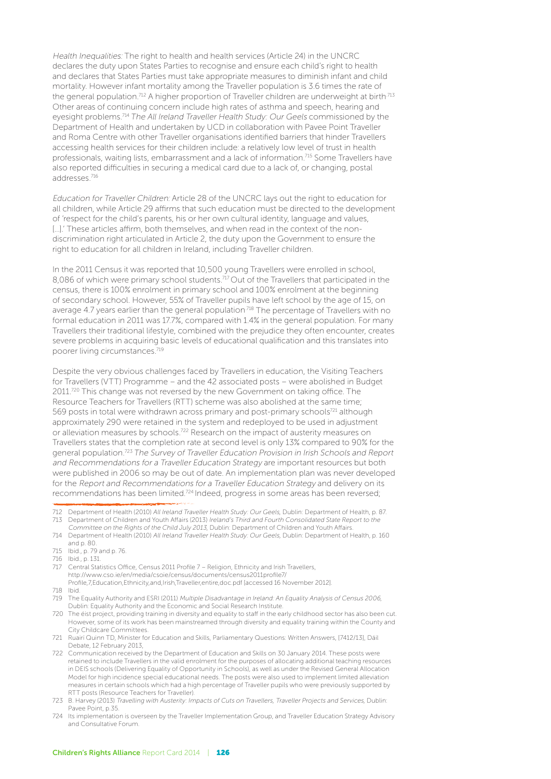Health Inequalities: The right to health and health services (Article 24) in the UNCRC declares the duty upon States Parties to recognise and ensure each child's right to health and declares that States Parties must take appropriate measures to diminish infant and child mortality. However infant mortality among the Traveller population is 3.6 times the rate of the general population.<sup>712</sup> A higher proportion of Traveller children are underweight at birth.<sup>713</sup> Other areas of continuing concern include high rates of asthma and speech, hearing and eyesight problems.<sup>714</sup> The All Ireland Traveller Health Study: Our Geels commissioned by the Department of Health and undertaken by UCD in collaboration with Pavee Point Traveller and Roma Centre with other Traveller organisations identified barriers that hinder Travellers accessing health services for their children include: a relatively low level of trust in health professionals, waiting lists, embarrassment and a lack of information.715 Some Travellers have also reported difficulties in securing a medical card due to a lack of, or changing, postal addresses.716

Education for Traveller Children: Article 28 of the UNCRC lays out the right to education for all children, while Article 29 affirms that such education must be directed to the development of 'respect for the child's parents, his or her own cultural identity, language and values, [...].' These articles affirm, both themselves, and when read in the context of the nondiscrimination right articulated in Article 2, the duty upon the Government to ensure the right to education for all children in Ireland, including Traveller children.

In the 2011 Census it was reported that 10,500 young Travellers were enrolled in school, 8,086 of which were primary school students.<sup>717</sup> Out of the Travellers that participated in the census, there is 100% enrolment in primary school and 100% enrolment at the beginning of secondary school. However, 55% of Traveller pupils have left school by the age of 15, on average 4.7 years earlier than the general population.<sup>718</sup> The percentage of Travellers with no formal education in 2011 was 17.7%, compared with 1.4% in the general population. For many Travellers their traditional lifestyle, combined with the prejudice they often encounter, creates severe problems in acquiring basic levels of educational qualification and this translates into poorer living circumstances.719

Despite the very obvious challenges faced by Travellers in education, the Visiting Teachers for Travellers (VTT) Programme – and the 42 associated posts – were abolished in Budget 2011.<sup>720</sup> This change was not reversed by the new Government on taking office. The Resource Teachers for Travellers (RTT) scheme was also abolished at the same time; 569 posts in total were withdrawn across primary and post-primary schools<sup>721</sup> although approximately 290 were retained in the system and redeployed to be used in adjustment or alleviation measures by schools.<sup>722</sup> Research on the impact of austerity measures on Travellers states that the completion rate at second level is only 13% compared to 90% for the general population.723 The Survey of Traveller Education Provision in Irish Schools and Report and Recommendations for a Traveller Education Strategy are important resources but both were published in 2006 so may be out of date. An implementation plan was never developed for the Report and Recommendations for a Traveller Education Strategy and delivery on its recommendations has been limited.724 Indeed, progress in some areas has been reversed;

- 716 Ibid., p. 131.
- 717 Central Statistics Office, Census 2011 Profile 7 Religion, Ethnicity and Irish Travellers, http://www.cso.ie/en/media/csoie/census/documents/census2011profile7/ Profile,7,Education,Ethnicity,and,Irish,Traveller,entire,doc.pdf [accessed 16 November 2012].
- 718 Ibid.
- 719 The Equality Authority and ESRI (2011) Multiple Disadvantage in Ireland: An Equality Analysis of Census 2006, Dublin: Equality Authority and the Economic and Social Research Institute.
- 720 The éist project, providing training in diversity and equality to staff in the early childhood sector has also been cut. However, some of its work has been mainstreamed through diversity and equality training within the County and City Childcare Committees.
- 721 Ruairí Quinn TD, Minister for Education and Skills, Parliamentary Questions: Written Answers, [7412/13], Dáil Debate, 12 February 2013,
- 722 Communication received by the Department of Education and Skills on 30 January 2014. These posts were retained to include Travellers in the valid enrolment for the purposes of allocating additional teaching resources in DEIS schools (Delivering Equality of Opportunity in Schools), as well as under the Revised General Allocation Model for high incidence special educational needs. The posts were also used to implement limited alleviation measures in certain schools which had a high percentage of Traveller pupils who were previously supported by RTT posts (Resource Teachers for Traveller).
- 723 B. Harvey (2013) Travelling with Austerity: Impacts of Cuts on Travellers, Traveller Projects and Services, Dublin: Pavee Point, p.35.
- 724 Its implementation is overseen by the Traveller Implementation Group, and Traveller Education Strategy Advisory and Consultative Forum.

<sup>712</sup> Department of Health (2010) All Ireland Traveller Health Study: Our Geels, Dublin: Department of Health, p. 87. 713 Department of Children and Youth Affairs (2013) Ireland's Third and Fourth Consolidated State Report to the

Committee on the Rights of the Child July 2013, Dublin: Department of Children and Youth Affairs.

<sup>714</sup> Department of Health (2010) All Ireland Traveller Health Study: Our Geels, Dublin: Department of Health, p. 160 and p. 80.

<sup>715</sup> Ibid., p. 79 and p. 76.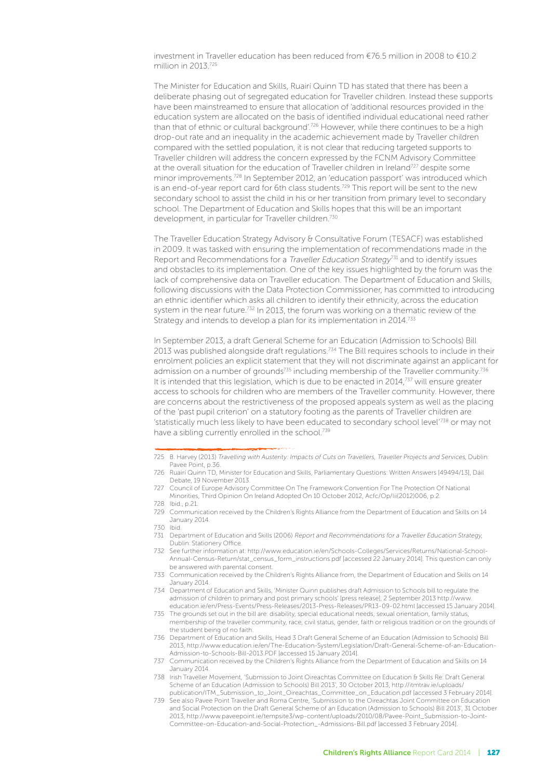investment in Traveller education has been reduced from €76.5 million in 2008 to €10.2 million in 2013<sup>725</sup>

The Minister for Education and Skills, Ruairí Quinn TD has stated that there has been a deliberate phasing out of segregated education for Traveller children. Instead these supports have been mainstreamed to ensure that allocation of 'additional resources provided in the education system are allocated on the basis of identified individual educational need rather than that of ethnic or cultural background'.<sup>726</sup> However, while there continues to be a high drop-out rate and an inequality in the academic achievement made by Traveller children compared with the settled population, it is not clear that reducing targeted supports to Traveller children will address the concern expressed by the FCNM Advisory Committee at the overall situation for the education of Traveller children in Ireland<sup>727</sup> despite some minor improvements.728 In September 2012, an 'education passport' was introduced which is an end-of-year report card for 6th class students.<sup>729</sup> This report will be sent to the new secondary school to assist the child in his or her transition from primary level to secondary school. The Department of Education and Skills hopes that this will be an important development, in particular for Traveller children.<sup>730</sup>

The Traveller Education Strategy Advisory & Consultative Forum (TESACF) was established in 2009. It was tasked with ensuring the implementation of recommendations made in the Report and Recommendations for a *Traveller Education Strategy*<sup>731</sup> and to identify issues and obstacles to its implementation. One of the key issues highlighted by the forum was the lack of comprehensive data on Traveller education. The Department of Education and Skills, following discussions with the Data Protection Commissioner, has committed to introducing an ethnic identifier which asks all children to identify their ethnicity, across the education system in the near future.<sup>732</sup> In 2013, the forum was working on a thematic review of the Strategy and intends to develop a plan for its implementation in 2014.<sup>733</sup>

In September 2013, a draft General Scheme for an Education (Admission to Schools) Bill 2013 was published alongside draft regulations.<sup>734</sup> The Bill requires schools to include in their enrolment policies an explicit statement that they will not discriminate against an applicant for admission on a number of grounds<sup>735</sup> including membership of the Traveller community.<sup>736</sup> It is intended that this legislation, which is due to be enacted in 2014,<sup>737</sup> will ensure greater access to schools for children who are members of the Traveller community. However, there are concerns about the restrictiveness of the proposed appeals system as well as the placing of the 'past pupil criterion' on a statutory footing as the parents of Traveller children are 'statistically much less likely to have been educated to secondary school level'738 or may not have a sibling currently enrolled in the school.<sup>739</sup>

<sup>725</sup> B. Harvey (2013) Travelling with Austerity: Impacts of Cuts on Travellers, Traveller Projects and Services, Dublin: Pavee Point, p.36

<sup>726</sup> Ruairí Quinn TD, Minister for Education and Skills, Parliamentary Questions: Written Answers [49494/13], Dáil Debate, 19 November 2013.

<sup>727</sup> Council of Europe Advisory Committee On The Framework Convention For The Protection Of National Minorities, Third Opinion On Ireland Adopted On 10 October 2012, Acfc/Op/Iii(2012)006, p.2. 728 Ibid., p.21.

<sup>729</sup> Communication received by the Children's Rights Alliance from the Department of Education and Skills on 14 January 2014.

<sup>730</sup> Ibid.<br>731 Dena

Department of Education and Skills (2006) Report and Recommendations for a Traveller Education Strategy, Dublin: Stationery Office.

<sup>732</sup> See further information at: http://www.education.ie/en/Schools-Colleges/Services/Returns/National-School-Annual-Census-Return/stat\_census\_form\_instructions.pdf [accessed 22 January 2014]. This question can only be answered with parental consent.

<sup>733</sup> Communication received by the Children's Rights Alliance from, the Department of Education and Skills on 14 January 2014.

<sup>734</sup> Department of Education and Skills, 'Minister Quinn publishes draft Admission to Schools bill to regulate the admission of children to primary and post primary schools' [press release], 2 September 2013 http://www. education.ie/en/Press-Events/Press-Releases/2013-Press-Releases/PR13-09-02.html [accessed 15 January 2014].

<sup>735</sup> The grounds set out in the bill are: disability, special educational needs, sexual orientation, family status, membership of the traveller community, race, civil status, gender, faith or religious tradition or on the grounds of the student being of no faith.

<sup>736</sup> Department of Education and Skills, Head 3 Draft General Scheme of an Education (Admission to Schools) Bill 2013, http://www.education.ie/en/The-Education-System/Legislation/Draft-General-Scheme-of-an-Education-Admission-to-Schools-Bill-2013.PDF [accessed 15 January 2014].

<sup>737</sup> Communication received by the Children's Rights Alliance from the Department of Education and Skills on 14 January 2014.

<sup>738</sup> Irish Traveller Movement, 'Submission to Joint Oireachtas Committee on Education & Skills Re: Draft General Scheme of an Education (Admission to Schools) Bill 2013', 30 October 2013, http://itmtrav.ie/uploads/ publication/ITM\_Submission\_to\_Joint\_Oireachtas\_Committee\_on\_Education.pdf [accessed 3 February 2014].

<sup>739</sup> See also Pavee Point Traveller and Roma Centre, 'Submission to the Oireachtas Joint Committee on Education and Social Protection on the Draft General Scheme of an Education (Admission to Schools) Bill 2013', 31 October 2013, http://www.paveepoint.ie/tempsite3/wp-content/uploads/2010/08/Pavee-Point\_Submission-to-Joint-Committee-on-Education-and-Social-Protection\_-Admissions-Bill.pdf [accessed 3 February 2014].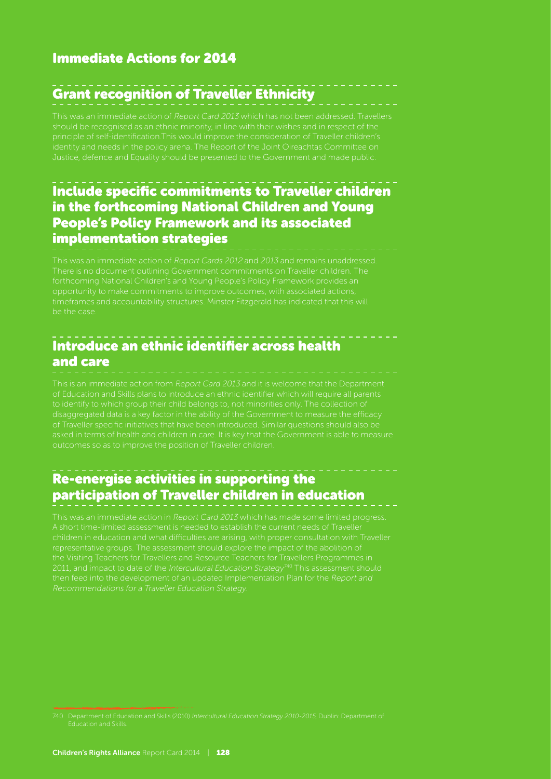# Grant recognition of Traveller Ethnicity

This was an immediate action of Report Card 2013 which has not been addressed. Travellers

#### Include specific commitments to Traveller children in the forthcoming National Children and Young People's Policy Framework and its associated implementation strategies

This was an immediate action of Report Cards 2012 and 2013 and remains unaddressed. be the case.

# Introduce an ethnic identifier across health and care

This is an immediate action from Report Card 2013 and it is welcome that the Department of Education and Skills plans to introduce an ethnic identifier which will require all parents to identify to which group their child belongs to, not minorities only. The collection of of Traveller specific initiatives that have been introduced. Similar questions should also be asked in terms of health and children in care. It is key that the Government is able to measure outcomes so as to improve the position of Traveller children.

#### Re-energise activities in supporting the participation of Traveller children in education

This was an immediate action in Report Card 2013 which has made some limited progress. A short time-limited assessment is needed to establish the current needs of Traveller children in education and what difficulties are arising, with proper consultation with Traveller representative groups. The assessment should explore the impact of the abolition of then feed into the development of an updated Implementation Plan for the Report and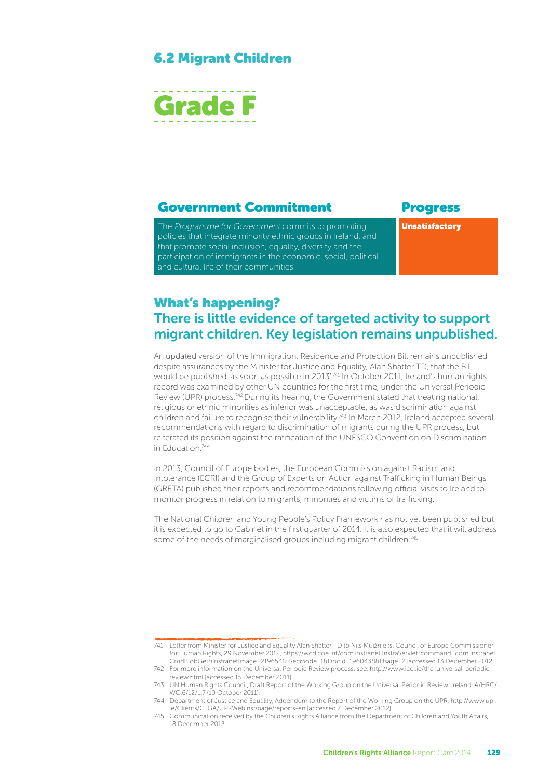#### 6.2 Migrant Children



#### Government Commitment Progress

The Programme for Government commits to promoting policies that integrate minority ethnic groups in Ireland, and that promote social inclusion, equality, diversity and the participation of immigrants in the economic, social, political and cultural life of their communities.

Unsatisfactory

#### What's happening? There is little evidence of targeted activity to support migrant children. Key legislation remains unpublished.

An updated version of the Immigration, Residence and Protection Bill remains unpublished despite assurances by the Minister for Justice and Equality, Alan Shatter TD, that the Bill would be published 'as soon as possible in 2013'.<sup>741</sup> In October 2011, Ireland's human rights record was examined by other UN countries for the first time, under the Universal Periodic Review (UPR) process.742 During its hearing, the Government stated that treating national, religious or ethnic minorities as inferior was unacceptable, as was discrimination against children and failure to recognise their vulnerability.<sup>743</sup> In March 2012, Ireland accepted several recommendations with regard to discrimination of migrants during the UPR process, but reiterated its position against the ratification of the UNESCO Convention on Discrimination in Education.744

In 2013, Council of Europe bodies, the European Commission against Racism and Intolerance (ECRI) and the Group of Experts on Action against Trafficking in Human Beings (GRETA) published their reports and recommendations following official visits to Ireland to monitor progress in relation to migrants, minorities and victims of trafficking.

The National Children and Young People's Policy Framework has not yet been published but it is expected to go to Cabinet in the first quarter of 2014. It is also expected that it will address some of the needs of marginalised groups including migrant children.<sup>745</sup>

<sup>741</sup> Letter from Minister for Justice and Equality Alan Shatter TD to Nils Muižnieks, Council of Europe Commissioner for Human Rights, 29 November 2012, https://wcd.coe.int/com.instranet.InstraServlet?command=com.instranet. CmdBlobGet&InstranetImage=2196541&SecMode=1&DocId=1960438&Usage=2 [accessed 13 December 2012].

<sup>742</sup> For more information on the Universal Periodic Review process, see: http://www.iccl.ie/the-universal-periodicreview.html [accessed 15 December 2011].

<sup>743</sup> UN Human Rights Council, Draft Report of the Working Group on the Universal Periodic Review: Ireland, A/HRC/ WG.6/12/L.7 (10 October 2011).

<sup>744</sup> Department of Justice and Equality, Addendum to the Report of the Working Group on the UPR, http://www.upr. ie/Clients/CEGA/UPRWeb.nsf/page/reports-en [accessed 7 December 2012].

<sup>745</sup> Communication received by the Children's Rights Alliance from the Department of Children and Youth Affairs, 18 December 2013.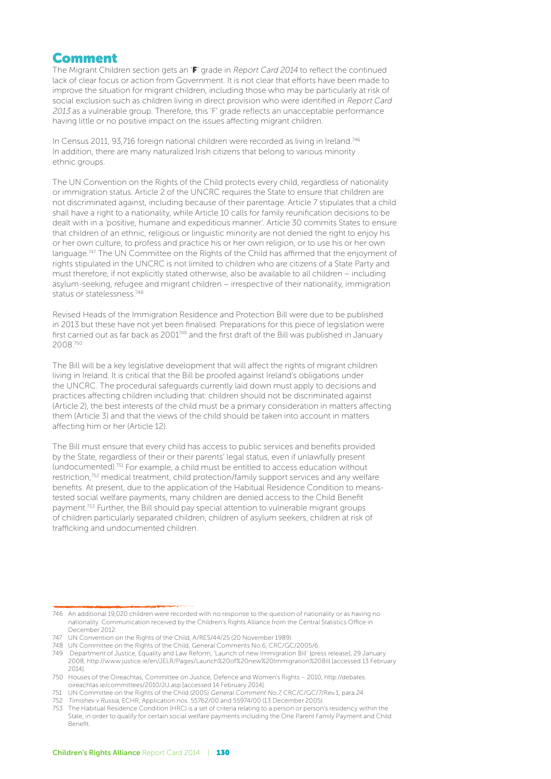#### Comment

The Migrant Children section gets an 'F' grade in Report Card 2014 to reflect the continued lack of clear focus or action from Government. It is not clear that efforts have been made to improve the situation for migrant children, including those who may be particularly at risk of social exclusion such as children living in direct provision who were identified in Report Card 2013 as a vulnerable group. Therefore, this 'F' grade reflects an unacceptable performance having little or no positive impact on the issues affecting migrant children.

In Census 2011, 93,716 foreign national children were recorded as living in Ireland.746 In addition, there are many naturalized Irish citizens that belong to various minority ethnic groups.

The UN Convention on the Rights of the Child protects every child, regardless of nationality or immigration status. Article 2 of the UNCRC requires the State to ensure that children are not discriminated against, including because of their parentage. Article 7 stipulates that a child shall have a right to a nationality, while Article 10 calls for family reunification decisions to be dealt with in a 'positive, humane and expeditious manner'. Article 30 commits States to ensure that children of an ethnic, religious or linguistic minority are not denied the right to enjoy his or her own culture, to profess and practice his or her own religion, or to use his or her own language.<sup>747</sup> The UN Committee on the Rights of the Child has affirmed that the enjoyment of rights stipulated in the UNCRC is not limited to children who are citizens of a State Party and must therefore, if not explicitly stated otherwise, also be available to all children – including asylum-seeking, refugee and migrant children – irrespective of their nationality, immigration status or statelessness.748

Revised Heads of the Immigration Residence and Protection Bill were due to be published in 2013 but these have not yet been finalised. Preparations for this piece of legislation were first carried out as far back as 2001749 and the first draft of the Bill was published in January 2008.750

The Bill will be a key legislative development that will affect the rights of migrant children living in Ireland. It is critical that the Bill be proofed against Ireland's obligations under the UNCRC. The procedural safeguards currently laid down must apply to decisions and practices affecting children including that: children should not be discriminated against (Article 2), the best interests of the child must be a primary consideration in matters affecting them (Article 3) and that the views of the child should be taken into account in matters affecting him or her (Article 12).

The Bill must ensure that every child has access to public services and benefits provided by the State, regardless of their or their parents' legal status, even if unlawfully present (undocumented).751 For example, a child must be entitled to access education without restriction,<sup>752</sup> medical treatment, child protection/family support services and any welfare benefits. At present, due to the application of the Habitual Residence Condition to meanstested social welfare payments, many children are denied access to the Child Benefit payment.753 Further, the Bill should pay special attention to vulnerable migrant groups of children particularly separated children, children of asylum seekers, children at risk of trafficking and undocumented children.

<sup>746</sup> An additional 19,020 children were recorded with no response to the question of nationality or as having no nationality. Communication received by the Children's Rights Alliance from the Central Statistics Office in December 2012.

<sup>747</sup> UN Convention on the Rights of the Child, A/RES/44/25 (20 November 1989).

<sup>748</sup> UN Committee on the Rights of the Child, General Comments No.6, CRC/GC/2005/6.

<sup>749</sup> Department of Justice, Equality and Law Reform, 'Launch of new Immigration Bill' [press release], 29 January 2008, http://www.justice.ie/en/JELR/Pages/Launch%20of%20new%20Immigration%20Bill [accessed 13 February 2014].

<sup>750</sup> Houses of the Oireachtas, Committee on Justice, Defence and Women's Rights – 2010, http://debates. oireachtas.ie/committees/2010/JU.asp [accessed 14 February 2014].

<sup>751</sup> UN Committee on the Rights of the Child (2005) General Comment No.7, CRC/C/GC/7/Rev.1, para.24.

<sup>752</sup> Timishev v Russia, ECHR, Application nos. 55762/00 and 55974/00 (13 December 2005).

<sup>753</sup> The Habitual Residence Condition (HRC) is a set of criteria relating to a person or person's residency within the State, in order to qualify for certain social welfare payments including the One Parent Family Payment and Child Benefit.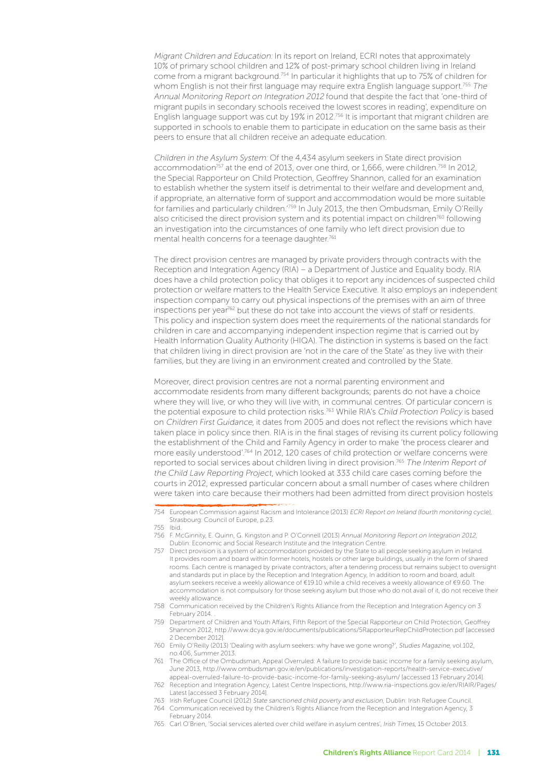Migrant Children and Education: In its report on Ireland, ECRI notes that approximately 10% of primary school children and 12% of post-primary school children living in Ireland come from a migrant background.754 In particular it highlights that up to 75% of children for whom English is not their first language may require extra English language support.<sup>755</sup> The Annual Monitoring Report on Integration 2012 found that despite the fact that 'one-third of migrant pupils in secondary schools received the lowest scores in reading', expenditure on English language support was cut by 19% in 2012.<sup>756</sup> It is important that migrant children are supported in schools to enable them to participate in education on the same basis as their peers to ensure that all children receive an adequate education.

Children in the Asylum System: Of the 4,434 asylum seekers in State direct provision accommodation<sup>757</sup> at the end of 2013, over one third, or 1,666, were children.<sup>758</sup> In 2012, the Special Rapporteur on Child Protection, Geoffrey Shannon, called for an examination to establish whether the system itself is detrimental to their welfare and development and, if appropriate, an alternative form of support and accommodation would be more suitable for families and particularly children.<sup>'759</sup> In July 2013, the then Ombudsman, Emily O'Reilly also criticised the direct provision system and its potential impact on children<sup>760</sup> following an investigation into the circumstances of one family who left direct provision due to mental health concerns for a teenage daughter.<sup>761</sup>

The direct provision centres are managed by private providers through contracts with the Reception and Integration Agency (RIA) – a Department of Justice and Equality body. RIA does have a child protection policy that obliges it to report any incidences of suspected child protection or welfare matters to the Health Service Executive. It also employs an independent inspection company to carry out physical inspections of the premises with an aim of three inspections per year<sup>762</sup> but these do not take into account the views of staff or residents. This policy and inspection system does meet the requirements of the national standards for children in care and accompanying independent inspection regime that is carried out by Health Information Quality Authority (HIQA). The distinction in systems is based on the fact that children living in direct provision are 'not in the care of the State' as they live with their families, but they are living in an environment created and controlled by the State.

Moreover, direct provision centres are not a normal parenting environment and accommodate residents from many different backgrounds; parents do not have a choice where they will live, or who they will live with, in communal centres. Of particular concern is the potential exposure to child protection risks.<sup>763</sup> While RIA's Child Protection Policy is based on Children First Guidance, it dates from 2005 and does not reflect the revisions which have taken place in policy since then. RIA is in the final stages of revising its current policy following the establishment of the Child and Family Agency in order to make 'the process clearer and more easily understood'.764 In 2012, 120 cases of child protection or welfare concerns were reported to social services about children living in direct provision.<sup>765</sup> The Interim Report of the Child Law Reporting Project, which looked at 333 child care cases coming before the courts in 2012, expressed particular concern about a small number of cases where children were taken into care because their mothers had been admitted from direct provision hostels

754 European Commission against Racism and Intolerance (2013) ECRI Report on Ireland (fourth monitoring cycle), Strasbourg: Council of Europe, p.23.

- 755 Ibid.
- 756 F. McGinnity, E. Quinn, G. Kingston and P. O'Connell (2013) Annual Monitoring Report on Integration 2012, Dublin: Economic and Social Research Institute and the Integration Centre.
- 757 Direct provision is a system of accommodation provided by the State to all people seeking asylum in Ireland. It provides room and board within former hotels, hostels or other large buildings, usually in the form of shared rooms. Each centre is managed by private contractors, after a tendering process but remains subject to oversight and standards put in place by the Reception and Integration Agency, In addition to room and board, adult asylum seekers receive a weekly allowance of €19.10 while a child receives a weekly allowance of €9.60. The accommodation is not compulsory for those seeking asylum but those who do not avail of it, do not receive their weekly allowance
- 758 Communication received by the Children's Rights Alliance from the Reception and Integration Agency on 3 February 2014.
- 759 Department of Children and Youth Affairs, Fifth Report of the Special Rapporteur on Child Protection, Geoffrey Shannon 2012, http://www.dcya.gov.ie/documents/publications/5RapporteurRepChildProtection.pdf [accessed 2 December 2012].
- 760 Emily O'Reilly (2013) 'Dealing with asylum seekers: why have we gone wrong?', Studies Magazine, vol.102, no.406, Summer 2013.
- 761 The Office of the Ombudsman, Appeal Overruled: A failure to provide basic income for a family seeking asylum, June 2013, http://www.ombudsman.gov.ie/en/publications/investigation-reports/health-service-executive/ appeal-overruled-failure-to-provide-basic-income-for-family-seeking-asylum/ [accessed 13 February 2014].
- 762 Reception and Integration Agency, Latest Centre Inspections, http://www.ria-inspections.gov.ie/en/RIAIR/Pages/ Latest [accessed 3 February 2014].
- 763 Irish Refugee Council (2012) State sanctioned child poverty and exclusion, Dublin: Irish Refugee Council.
- 764 Communication received by the Children's Rights Alliance from the Reception and Integration Agency, 3 February 2014.
- 765 Carl O'Brien, 'Social services alerted over child welfare in asylum centres', Irish Times, 15 October 2013.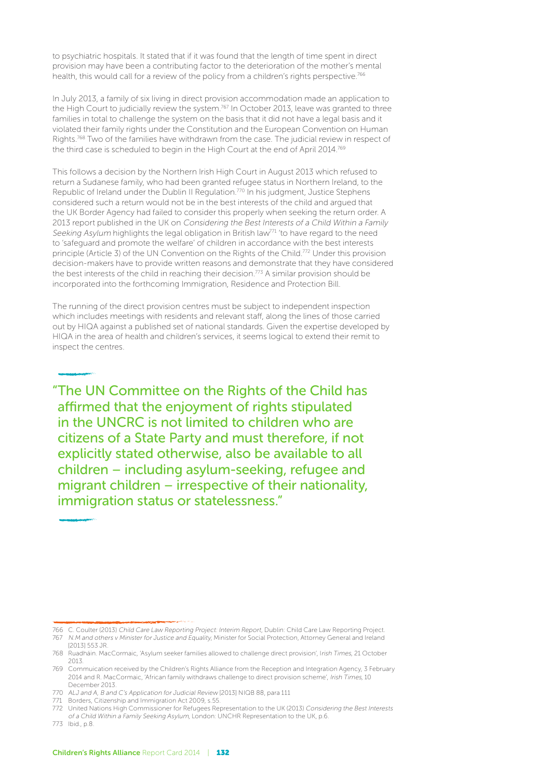to psychiatric hospitals. It stated that if it was found that the length of time spent in direct provision may have been a contributing factor to the deterioration of the mother's mental health, this would call for a review of the policy from a children's rights perspective.<sup>766</sup>

In July 2013, a family of six living in direct provision accommodation made an application to the High Court to judicially review the system.<sup>767</sup> In October 2013, leave was granted to three families in total to challenge the system on the basis that it did not have a legal basis and it violated their family rights under the Constitution and the European Convention on Human Rights.<sup>768</sup> Two of the families have withdrawn from the case. The judicial review in respect of the third case is scheduled to begin in the High Court at the end of April 2014.769

This follows a decision by the Northern Irish High Court in August 2013 which refused to return a Sudanese family, who had been granted refugee status in Northern Ireland, to the Republic of Ireland under the Dublin II Regulation.770 In his judgment, Justice Stephens considered such a return would not be in the best interests of the child and argued that the UK Border Agency had failed to consider this properly when seeking the return order. A 2013 report published in the UK on Considering the Best Interests of a Child Within a Family Seeking Asylum highlights the legal obligation in British law<sup>71</sup> 'to have regard to the need to 'safeguard and promote the welfare' of children in accordance with the best interests principle (Article 3) of the UN Convention on the Rights of the Child.772 Under this provision decision-makers have to provide written reasons and demonstrate that they have considered the best interests of the child in reaching their decision.<sup>773</sup> A similar provision should be incorporated into the forthcoming Immigration, Residence and Protection Bill.

The running of the direct provision centres must be subject to independent inspection which includes meetings with residents and relevant staff, along the lines of those carried out by HIQA against a published set of national standards. Given the expertise developed by HIQA in the area of health and children's services, it seems logical to extend their remit to inspect the centres.

"The UN Committee on the Rights of the Child has affirmed that the enjoyment of rights stipulated in the UNCRC is not limited to children who are citizens of a State Party and must therefore, if not explicitly stated otherwise, also be available to all children – including asylum-seeking, refugee and migrant children – irrespective of their nationality, immigration status or statelessness."

773 Ibid., p.8.

<sup>766</sup> C. Coulter (2013) Child Care Law Reporting Project: Interim Report, Dublin: Child Care Law Reporting Project.

<sup>767</sup> N.M and others v Minister for Justice and Equality, Minister for Social Protection, Attorney General and Ireland [2013] 553 JR.

<sup>768</sup> Ruadháin. MacCormaic, 'Asylum seeker families allowed to challenge direct provision', Irish Times, 21 October 2013.

<sup>769</sup> Commuication received by the Children's Rights Alliance from the Reception and Integration Agency, 3 February 2014 and R. MacCormaic, 'African family withdraws challenge to direct provision scheme', Irish Times, 10 December 2013.

<sup>770</sup> ALJ and A, B and C's Application for Judicial Review [2013] NIQB 88, para 111

<sup>771</sup> Borders, Citizenship and Immigration Act 2009, s.55.

<sup>772</sup> United Nations High Commissioner for Refugees Representation to the UK (2013) Considering the Best Interests

of a Child Within a Family Seeking Asylum, London: UNCHR Representation to the UK, p.6.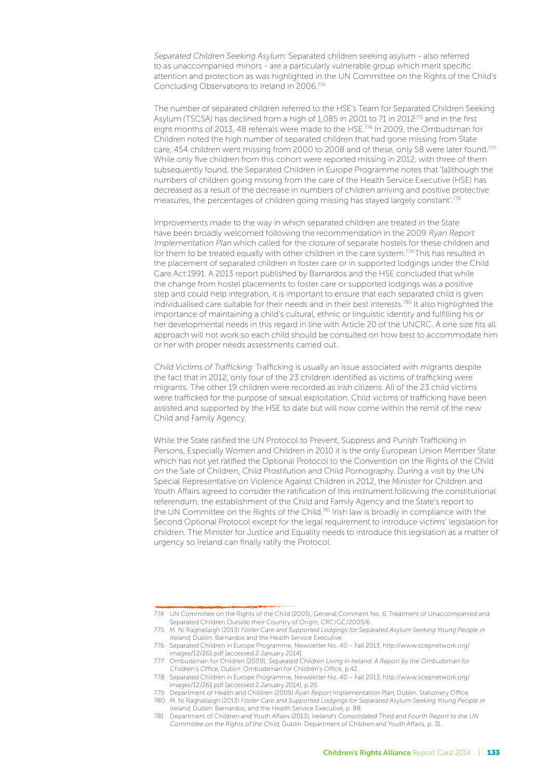Separated Children Seeking Asylum: Separated children seeking asylum - also referred to as unaccompanied minors - are a particularly vulnerable group which merit specific attention and protection as was highlighted in the UN Committee on the Rights of the Child's Concluding Observations to Ireland in 2006.774

The number of separated children referred to the HSE's Team for Separated Children Seeking Asylum (TSCSA) has declined from a high of 1,085 in 2001 to 71 in 2012 $^{775}$  and in the first eight months of 2013, 48 referrals were made to the HSE.776 In 2009, the Ombudsman for Children noted the high number of separated children that had gone missing from State care; 454 children went missing from 2000 to 2008 and of these, only 58 were later found.<sup>777</sup> While only five children from this cohort were reported missing in 2012, with three of them subsequently found, the Separated Children in Europe Programme notes that '[a]lthough the numbers of children going missing from the care of the Health Service Executive (HSE) has decreased as a result of the decrease in numbers of children arriving and positive protective measures, the percentages of children going missing has stayed largely constant'.778

Improvements made to the way in which separated children are treated in the State have been broadly welcomed following the recommendation in the 2009 Ryan Report Implementation Plan which called for the closure of separate hostels for these children and for them to be treated equally with other children in the care system.<sup>779</sup> This has resulted in the placement of separated children in foster care or in supported lodgings under the Child Care Act 1991. A 2013 report published by Barnardos and the HSE concluded that while the change from hostel placements to foster care or supported lodgings was a positive step and could help integration, it is important to ensure that each separated child is given individualised care suitable for their needs and in their best interests.<sup>780</sup> It also highlighted the importance of maintaining a child's cultural, ethnic or linguistic identity and fulfilling his or her developmental needs in this regard in line with Article 20 of the UNCRC. A one size fits all approach will not work so each child should be consulted on how best to accommodate him or her with proper needs assessments carried out.

Child Victims of Trafficking: Trafficking is usually an issue associated with migrants despite the fact that in 2012, only four of the 23 children identified as victims of trafficking were migrants. The other 19 children were recorded as Irish citizens. All of the 23 child victims were trafficked for the purpose of sexual exploitation. Child victims of trafficking have been assisted and supported by the HSE to date but will now come within the remit of the new Child and Family Agency.

While the State ratified the UN Protocol to Prevent, Suppress and Punish Trafficking in Persons, Especially Women and Children in 2010 it is the only European Union Member State which has not yet ratified the Optional Protocol to the Convention on the Rights of the Child on the Sale of Children, Child Prostitution and Child Pornography. During a visit by the UN Special Representative on Violence Against Children in 2012, the Minister for Children and Youth Affairs agreed to consider the ratification of this instrument following the constitutional referendum, the establishment of the Child and Family Agency and the State's report to the UN Committee on the Rights of the Child.<sup>781</sup> Irish law is broadly in compliance with the Second Optional Protocol except for the legal requirement to introduce victims' legislation for children. The Minister for Justice and Equality needs to introduce this legislation as a matter of urgency so Ireland can finally ratify the Protocol.

<sup>774</sup> UN Committee on the Rights of the Child (2005), General Comment No. 6: Treatment of Unaccompanied and Separated Children Outside their Country of Origin, CRC/GC/2005/6.

<sup>775</sup> M. Ní Raghallaigh (2013) Foster Care and Supported Lodgings for Separated Asylum Seeking Young People in Ireland, Dublin: Barnardos and the Health Service Executive.

<sup>776</sup> Separated Children in Europe Programme, Newsletter No. 40 – Fall 2013, http://www.scepnetwork.org/ images/12/261.pdf [accessed 2 January 2014].

<sup>777</sup> Ombudsman for Children (2009), Separated Children Living in Ireland: A Report by the Ombudsman for Children's Office, Dublin: Ombudsman for Children's Office, p.42.

<sup>778</sup> Separated Children in Europe Programme, Newsletter No. 40 – Fall 2013, http://www.scepnetwork.org/ images/12/261.pdf [accessed 2 January 2014], p.26.

<sup>779</sup> Department of Health and Children (2009) Ryan Report Implementation Plan, Dublin: Stationery Office.

<sup>780</sup> M. Ní Raghallaigh (2013) Foster Care and Supported Lodgings for Separated Asylum Seeking Young People in Ireland, Dublin: Barnardos, and the Health Service Executive, p. 88.

<sup>781</sup> Department of Children and Youth Affairs (2013), Ireland's Consolidated Third and Fourth Report to the UN Committee on the Rights of the Child, Dublin: Department of Children and Youth Affairs, p. 31.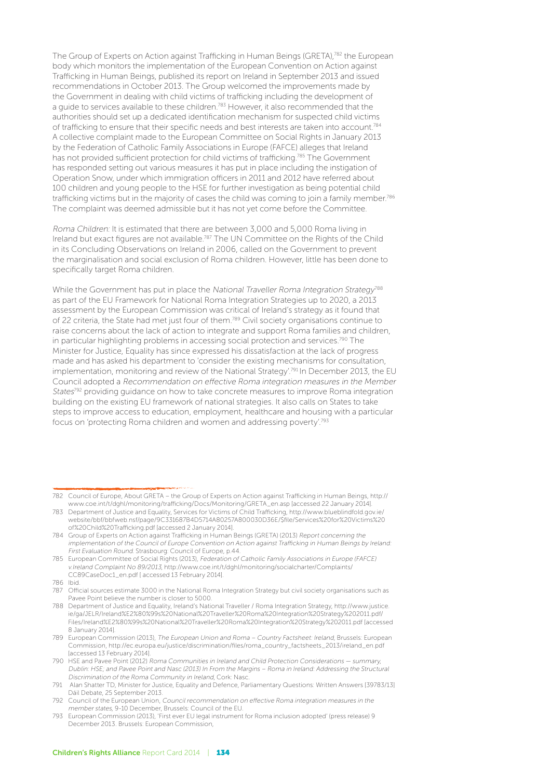The Group of Experts on Action against Trafficking in Human Beings (GRETA), 782 the European body which monitors the implementation of the European Convention on Action against Trafficking in Human Beings, published its report on Ireland in September 2013 and issued recommendations in October 2013. The Group welcomed the improvements made by the Government in dealing with child victims of trafficking including the development of a guide to services available to these children.<sup>783</sup> However, it also recommended that the authorities should set up a dedicated identification mechanism for suspected child victims of trafficking to ensure that their specific needs and best interests are taken into account.784 A collective complaint made to the European Committee on Social Rights in January 2013 by the Federation of Catholic Family Associations in Europe (FAFCE) alleges that Ireland has not provided sufficient protection for child victims of trafficking.785 The Government has responded setting out various measures it has put in place including the instigation of Operation Snow, under which immigration officers in 2011 and 2012 have referred about 100 children and young people to the HSE for further investigation as being potential child trafficking victims but in the majority of cases the child was coming to join a family member.<sup>786</sup> The complaint was deemed admissible but it has not yet come before the Committee.

Roma Children: It is estimated that there are between 3,000 and 5,000 Roma living in Ireland but exact figures are not available.787 The UN Committee on the Rights of the Child in its Concluding Observations on Ireland in 2006, called on the Government to prevent the marginalisation and social exclusion of Roma children. However, little has been done to specifically target Roma children.

While the Government has put in place the National Traveller Roma Integration Strategy<sup>788</sup> as part of the EU Framework for National Roma Integration Strategies up to 2020, a 2013 assessment by the European Commission was critical of Ireland's strategy as it found that of 22 criteria, the State had met just four of them.789 Civil society organisations continue to raise concerns about the lack of action to integrate and support Roma families and children, in particular highlighting problems in accessing social protection and services.<sup>790</sup> The Minister for Justice, Equality has since expressed his dissatisfaction at the lack of progress made and has asked his department to 'consider the existing mechanisms for consultation, implementation, monitoring and review of the National Strategy'.791 In December 2013, the EU Council adopted a Recommendation on effective Roma integration measures in the Member States<sup>792</sup> providing quidance on how to take concrete measures to improve Roma integration building on the existing EU framework of national strategies. It also calls on States to take steps to improve access to education, employment, healthcare and housing with a particular focus on 'protecting Roma children and women and addressing poverty'.793

<sup>782</sup> Council of Europe, About GRETA – the Group of Experts on Action against Trafficking in Human Beings, http:// www.coe.int/t/dghl/monitoring/trafficking/Docs/Monitoring/GRETA\_en.asp [accessed 22 January 2014].

<sup>783</sup> Department of Justice and Equality, Services for Victims of Child Trafficking, http://www.blueblindfold.gov.ie/ website/bbf/bbfweb.nsf/page/9C331687B4D5714A80257A800030D36E/\$file/Services%20for%20Victims%20 of%20Child%20Trafficking.pdf [accessed 2 January 2014].

<sup>784</sup> Group of Experts on Action against Trafficking in Human Beings (GRETA) (2013) Report concerning the implementation of the Council of Europe Convention on Action against Trafficking in Human Beings by Ireland: First Evaluation Round. Strasbourg: Council of Europe, p.44.

<sup>785</sup> European Committee of Social Rights (2013), Federation of Catholic Family Associations in Europe (FAFCE) v.Ireland Complaint No 89/2013, http://www.coe.int/t/dghl/monitoring/socialcharter/Complaints/ CC89CaseDoc1\_en.pdf [ accessed 13 February 2014].

<sup>786</sup> Ibid.

<sup>787</sup> Official sources estimate 3000 in the National Roma Integration Strategy but civil society organisations such as Pavee Point believe the number is closer to 5000.

<sup>788</sup> Department of Justice and Equality, Ireland's National Traveller / Roma Integration Strategy, http://www.justice. ie/ga/JELR/Ireland%E2%80%99s%20National%20Traveller%20Roma%20Integration%20Strategy%202011.pdf/ Files/Ireland%E2%80%99s%20National%20Traveller%20Roma%20Integration%20Strategy%202011.pdf [accessed 8 January 2014].

<sup>789</sup> European Commission (2013), The European Union and Roma – Country Factsheet: Ireland, Brussels: European Commission, http://ec.europa.eu/justice/discrimination/files/roma\_country\_factsheets\_2013/ireland\_en.pdf [accessed 13 February 2014].

<sup>790</sup> HSE and Pavee Point (2012) Roma Communities in Ireland and Child Protection Considerations — summary, Dublin: HSE; and Pavee Point and Nasc (2013) In From the Margins – Roma in Ireland: Addressing the Structural Discrimination of the Roma Community in Ireland, Cork: Nasc.

<sup>791</sup> Alan Shatter TD, Minister for Justice, Equality and Defence, Parliamentary Questions: Written Answers [39783/13] Dáil Debate, 25 September 2013.

<sup>792</sup> Council of the European Union, Council recommendation on effective Roma integration measures in the member states, 9-10 December, Brussels: Council of the EU.

<sup>793</sup> European Commission (2013), 'First ever EU legal instrument for Roma inclusion adopted' (press release) 9 December 2013. Brussels: European Commission,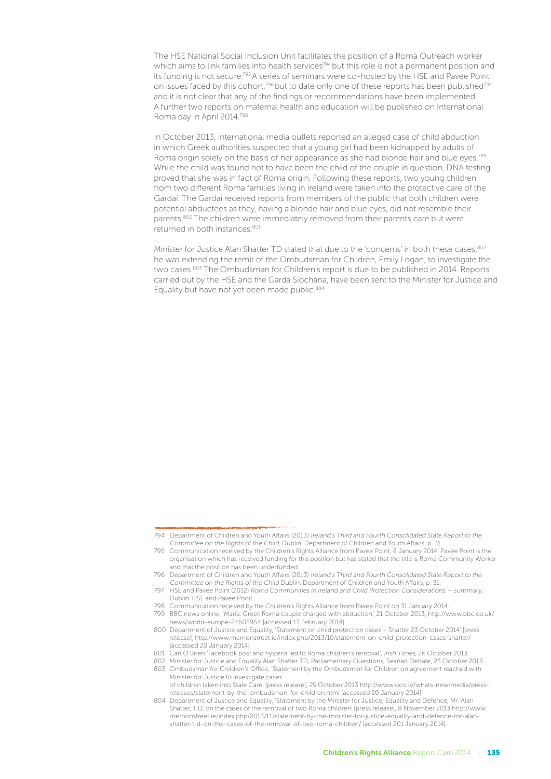The HSE National Social Inclusion Unit facilitates the position of a Roma Outreach worker which aims to link families into health services<sup>794</sup> but this role is not a permanent position and its funding is not secure.795 A series of seminars were co-hosted by the HSE and Pavee Point on issues faced by this cohort,<sup>796</sup> but to date only one of these reports has been published<sup>797</sup> and it is not clear that any of the findings or recommendations have been implemented. A further two reports on maternal health and education will be published on International Roma day in April 2014.798

In October 2013, international media outlets reported an alleged case of child abduction in which Greek authorities suspected that a young girl had been kidnapped by adults of Roma origin solely on the basis of her appearance as she had blonde hair and blue eves.<sup>799</sup> While the child was found not to have been the child of the couple in question, DNA testing proved that she was in fact of Roma origin. Following these reports, two young children from two different Roma families living in Ireland were taken into the protective care of the Gardaí. The Gardaí received reports from members of the public that both children were potential abductees as they, having a blonde hair and blue eyes, did not resemble their parents.800 The children were immediately removed from their parents care but were returned in both instances.<sup>801</sup>

Minister for Justice Alan Shatter TD stated that due to the 'concerns' in both these cases.<sup>802</sup> he was extending the remit of the Ombudsman for Children, Emily Logan, to investigate the two cases.<sup>803</sup> The Ombudsman for Children's report is due to be published in 2014. Reports carried out by the HSE and the Garda Síochána, have been sent to the Minister for Justice and Equality but have not yet been made public.<sup>804</sup>

<sup>794</sup> Department of Children and Youth Affairs (2013) Ireland's Third and Fourth Consolidated State Report to the Committee on the Rights of the Child, Dublin: Department of Children and Youth Affairs, p. 31.

<sup>795</sup> Communication received by the Children's Rights Alliance from Pavee Point, 8 January 2014. Pavee Point is the organisation which has received funding for this position but has stated that the title is Roma Community Worker and that the position has been underfunded.

<sup>796</sup> Department of Children and Youth Affairs (2013) Ireland's Third and Fourth Consolidated State Report to the Committee on the Rights of the Child Dublin: Department of Children and Youth Affairs, p. 31.

<sup>797</sup> HSE and Pavee Point (2012) Roma Communities in Ireland and Child Protection Considerations — summary, Dublin: HSE and Pavee Point.

<sup>798</sup> Communication received by the Children's Rights Alliance from Pavee Point on 31 January 2014.

<sup>799</sup> BBC news online, 'Maria: Greek Roma couple charged with abduction', 21 October 2013, http://www.bbc.co.uk/ news/world-europe-24605954 [accessed 13 February 2014].

<sup>800</sup> Department of Justice and Equality, 'Statement on child protection cases – Shatter 23 October 2014' [press release], http://www.merrionstreet.ie/index.php/2013/10/statement-on-child-protection-cases-shatter/ [accessed 20 January 2014].

<sup>801</sup> Carl O'Brien 'Facebook post and hysteria led to Roma children's removal', Irish Times, 26 October 2013.

<sup>802</sup> Minister for Justice and Equality Alan Shatter TD, Parliamentary Questions, Seanad Debate, 23 October 2013. 803 Ombudsman for Children's Office, 'Statement by the Ombudsman for Children on agreement reached with Minister for Justice to investigate cases

of children taken into State Care' [press release], 25 October 2013 http://www.oco.ie/whats-new/media/pressreleases/statement-by-the-ombudsman-for-children.html [accessed 20 January 2014].

<sup>804</sup> Department of Justice and Equality, 'Statement by the Minister for Justice, Equality and Defence, Mr. Alan Shatter, T.D, on the cases of the removal of two Roma children' [press release], 8 November 2013 http://www. merrionstreet.ie/index.php/2013/11/statement-by-the-minister-for-justice-equality-and-defence-mr-alanshatter-t-d-on-the-cases-of-the-removal-of-two-roma-children/ [accessed 201 January 2014].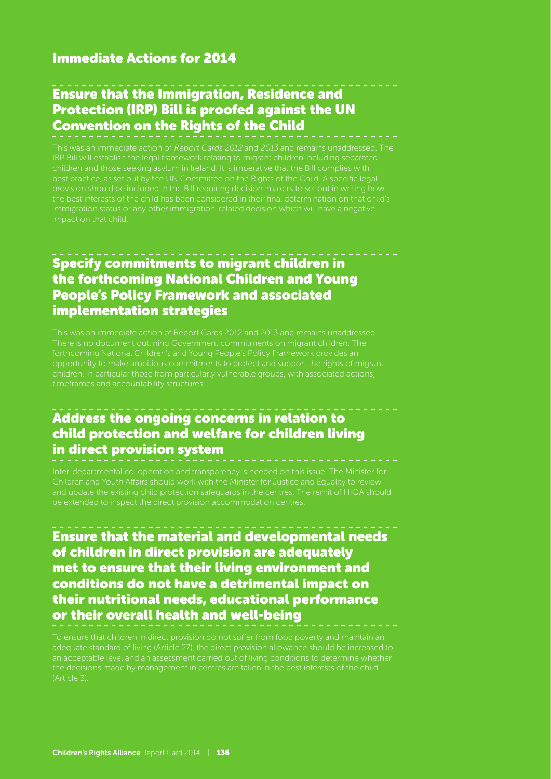#### Immediate Actions for 2014

## Ensure that the Immigration, Residence and Protection (IRP) Bill is proofed against the UN Convention on the Rights of the Child

This was an immediate action of Report Cards 2012 and 2013 and remains unaddressed. The IRP Bill will establish the legal framework relating to migrant children including separated children and those seeking asylum in Ireland. It is imperative that the Bill complies with

#### Specify commitments to migrant children in the forthcoming National Children and Young People's Policy Framework and associated implementation strategies

#### Address the ongoing concerns in relation to child protection and welfare for children living in direct provision system

and update the existing child protection safeguards in the centres. The remit of HIQA should be extended to inspect the direct provision accommodation centres.

Ensure that the material and developmental needs of children in direct provision are adequately met to ensure that their living environment and conditions do not have a detrimental impact on their nutritional needs, educational performance or their overall health and well-being

adequate standard of living (Article 27), the direct provision allowance should be increased to an acceptable level and an assessment carried out of living conditions to determine whether the decisions made by management in centres are taken in the best interests of the child (Article 3).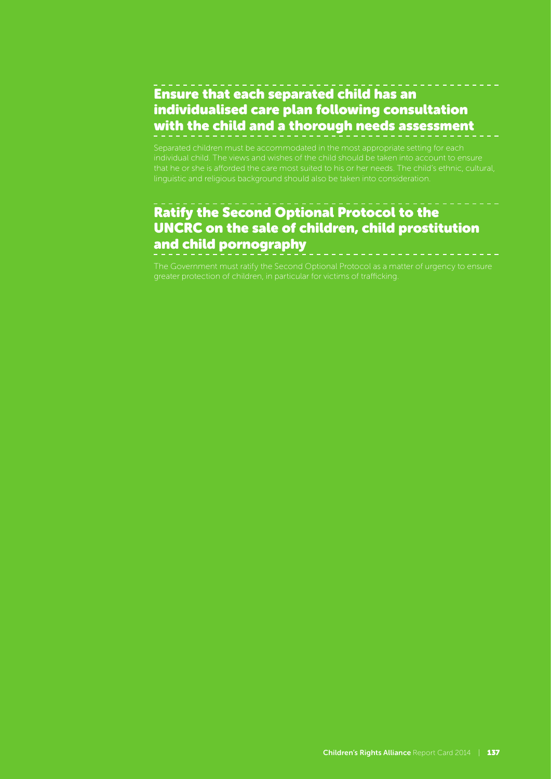### Ensure that each separated child has an individualised care plan following consultation with the child and a thorough needs assessment

Separated children must be accommodated in the most appropriate setting for each individual child. The views and wishes of the child should be taken into account to ensure that he or she is afforded the care most suited to his or her needs. The child's ethnic, cultural,

# Ratify the Second Optional Protocol to the UNCRC on the sale of children, child prostitution and child pornography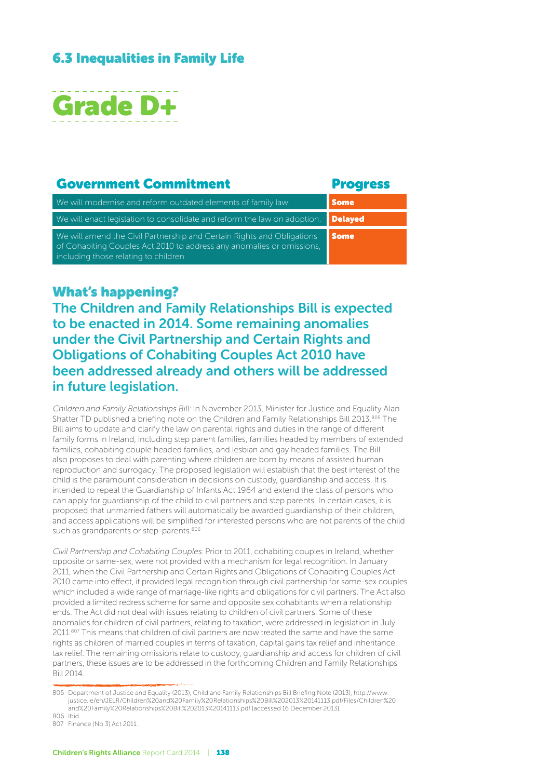#### 6.3 Inequalities in Family Life



#### Government Commitment **Executive** Progress

| We will modernise and reform outdated elements of family law.                                                                                                                            | <b>Some</b> |
|------------------------------------------------------------------------------------------------------------------------------------------------------------------------------------------|-------------|
| We will enact legislation to consolidate and reform the law on adoption.                                                                                                                 | Delaved     |
| We will amend the Civil Partnership and Certain Rights and Obligations<br>of Cohabiting Couples Act 2010 to address any anomalies or omissions,<br>including those relating to children. | <b>Some</b> |

What's happening?

The Children and Family Relationships Bill is expected to be enacted in 2014. Some remaining anomalies under the Civil Partnership and Certain Rights and Obligations of Cohabiting Couples Act 2010 have been addressed already and others will be addressed in future legislation.

Children and Family Relationships Bill: In November 2013, Minister for Justice and Equality Alan Shatter TD published a briefing note on the Children and Family Relationships Bill 2013.<sup>805</sup> The Bill aims to update and clarify the law on parental rights and duties in the range of different family forms in Ireland, including step parent families, families headed by members of extended families, cohabiting couple headed families, and lesbian and gay headed families. The Bill also proposes to deal with parenting where children are born by means of assisted human reproduction and surrogacy. The proposed legislation will establish that the best interest of the child is the paramount consideration in decisions on custody, guardianship and access. It is intended to repeal the Guardianship of Infants Act 1964 and extend the class of persons who can apply for guardianship of the child to civil partners and step parents. In certain cases, it is proposed that unmarried fathers will automatically be awarded guardianship of their children, and access applications will be simplified for interested persons who are not parents of the child such as grandparents or step-parents.<sup>806</sup>

Civil Partnership and Cohabiting Couples: Prior to 2011, cohabiting couples in Ireland, whether opposite or same-sex, were not provided with a mechanism for legal recognition. In January 2011, when the Civil Partnership and Certain Rights and Obligations of Cohabiting Couples Act 2010 came into effect, it provided legal recognition through civil partnership for same-sex couples which included a wide range of marriage-like rights and obligations for civil partners. The Act also provided a limited redress scheme for same and opposite sex cohabitants when a relationship ends. The Act did not deal with issues relating to children of civil partners. Some of these anomalies for children of civil partners, relating to taxation, were addressed in legislation in July 2011.<sup>807</sup> This means that children of civil partners are now treated the same and have the same rights as children of married couples in terms of taxation, capital gains tax relief and inheritance tax relief. The remaining omissions relate to custody, guardianship and access for children of civil partners, these issues are to be addressed in the forthcoming Children and Family Relationships Bill 2014.

<sup>805</sup> Department of Justice and Equality (2013), Child and Family Relationships Bill Briefing Note (2013), http://www. justice.ie/en/JELR/Children%20and%20Family%20Relationships%20Bill%202013%20141113.pdf/Files/Children%20 and%20Family%20Relationships%20Bill%202013%20141113.pdf [accessed 16 December 2013]. 806 Ibid.

<sup>807</sup> Finance (No 3) Act 2011.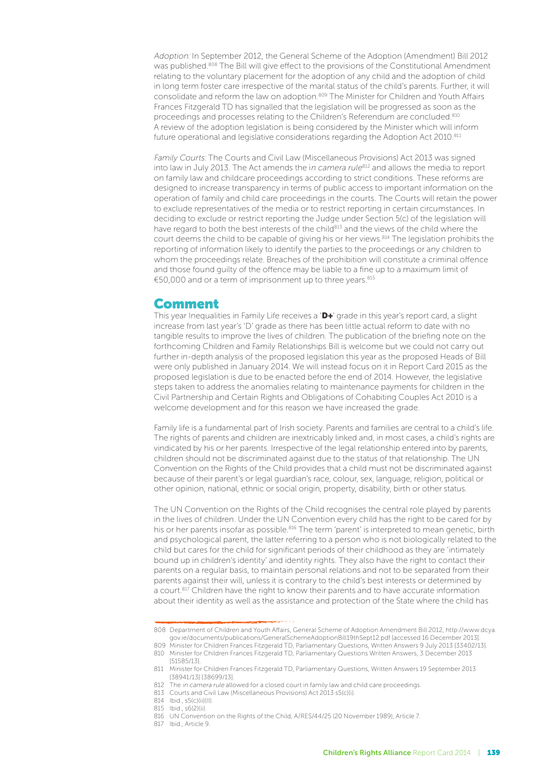Adoption: In September 2012, the General Scheme of the Adoption (Amendment) Bill 2012 was published.<sup>808</sup> The Bill will give effect to the provisions of the Constitutional Amendment relating to the voluntary placement for the adoption of any child and the adoption of child in long term foster care irrespective of the marital status of the child's parents. Further, it will consolidate and reform the law on adoption.809 The Minister for Children and Youth Affairs Frances Fitzgerald TD has signalled that the legislation will be progressed as soon as the proceedings and processes relating to the Children's Referendum are concluded.<sup>810</sup> A review of the adoption legislation is being considered by the Minister which will inform future operational and legislative considerations regarding the Adoption Act 2010.<sup>811</sup>

Family Courts: The Courts and Civil Law (Miscellaneous Provisions) Act 2013 was signed into law in July 2013. The Act amends the in camera rule812 and allows the media to report on family law and childcare proceedings according to strict conditions. These reforms are designed to increase transparency in terms of public access to important information on the operation of family and child care proceedings in the courts. The Courts will retain the power to exclude representatives of the media or to restrict reporting in certain circumstances. In deciding to exclude or restrict reporting the Judge under Section 5(c) of the legislation will have regard to both the best interests of the child<sup>813</sup> and the views of the child where the court deems the child to be capable of giving his or her views.<sup>814</sup> The legislation prohibits the reporting of information likely to identify the parties to the proceedings or any children to whom the proceedings relate. Breaches of the prohibition will constitute a criminal offence and those found guilty of the offence may be liable to a fine up to a maximum limit of €50,000 and or a term of imprisonment up to three years.815

#### Comment

This year Inequalities in Family Life receives a 'D+' grade in this year's report card, a slight increase from last year's 'D' grade as there has been little actual reform to date with no tangible results to improve the lives of children. The publication of the briefing note on the forthcoming Children and Family Relationships Bill is welcome but we could not carry out further in-depth analysis of the proposed legislation this year as the proposed Heads of Bill were only published in January 2014. We will instead focus on it in Report Card 2015 as the proposed legislation is due to be enacted before the end of 2014. However, the legislative steps taken to address the anomalies relating to maintenance payments for children in the Civil Partnership and Certain Rights and Obligations of Cohabiting Couples Act 2010 is a welcome development and for this reason we have increased the grade.

Family life is a fundamental part of Irish society. Parents and families are central to a child's life. The rights of parents and children are inextricably linked and, in most cases, a child's rights are vindicated by his or her parents. Irrespective of the legal relationship entered into by parents, children should not be discriminated against due to the status of that relationship. The UN Convention on the Rights of the Child provides that a child must not be discriminated against because of their parent's or legal guardian's race, colour, sex, language, religion, political or other opinion, national, ethnic or social origin, property, disability, birth or other status.

The UN Convention on the Rights of the Child recognises the central role played by parents in the lives of children. Under the UN Convention every child has the right to be cared for by his or her parents insofar as possible.<sup>816</sup> The term 'parent' is interpreted to mean genetic, birth and psychological parent, the latter referring to a person who is not biologically related to the child but cares for the child for significant periods of their childhood as they are 'intimately bound up in children's identity' and identity rights. They also have the right to contact their parents on a regular basis, to maintain personal relations and not to be separated from their parents against their will, unless it is contrary to the child's best interests or determined by a court.<sup>817</sup> Children have the right to know their parents and to have accurate information about their identity as well as the assistance and protection of the State where the child has

<sup>808</sup> Department of Children and Youth Affairs, General Scheme of Adoption Amendment Bill 2012, http://www.dcya. gov.ie/documents/publications/GeneralSchemeAdoptionBill19thSept12.pdf [accessed 16 December 2013].

<sup>809</sup> Minister for Children Frances Fitzgerald TD, Parliamentary Questions, Written Answers 9 July 2013 [33402/13]. 810 Minister for Children Frances Fitzgerald TD, Parliamentary Questions Written Answers, 3 December 2013 [51585/13].

<sup>811</sup> Minister for Children Frances Fitzgerald TD, Parliamentary Questions, Written Answers 19 September 2013 [38941/13] [38699/13].

<sup>812</sup> The in camera rule allowed for a closed court in family law and child care proceedings.

<sup>813</sup> Courts and Civil Law (Miscellaneous Provisions) Act 2013 s5(c)(i).

<sup>814</sup> Ibid., s5(c)(ii)(II).

<sup>815</sup> Ibid., s6(2)(ii).

<sup>816</sup> UN Convention on the Rights of the Child, A/RES/44/25 (20 November 1989), Article 7.

<sup>817</sup> Ibid., Article 9.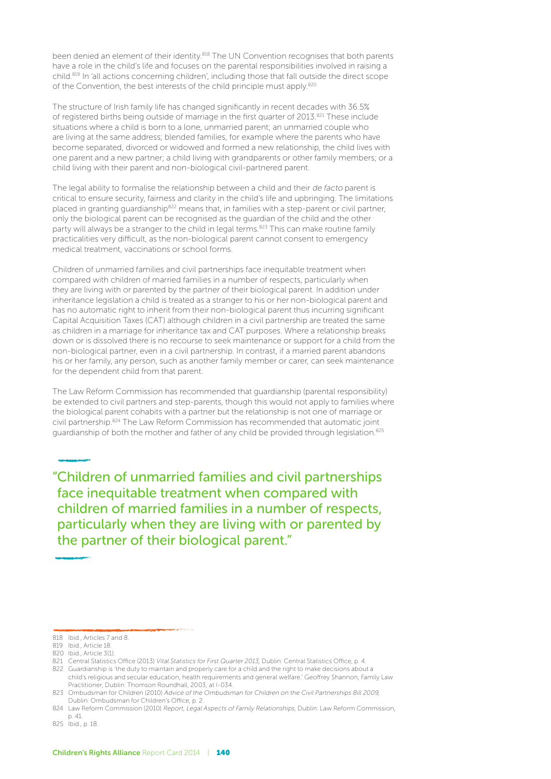been denied an element of their identity.<sup>818</sup> The UN Convention recognises that both parents have a role in the child's life and focuses on the parental responsibilities involved in raising a child.819 In 'all actions concerning children', including those that fall outside the direct scope of the Convention, the best interests of the child principle must apply.<sup>820</sup>

The structure of Irish family life has changed significantly in recent decades with 36.5% of registered births being outside of marriage in the first quarter of 2013.<sup>821</sup> These include situations where a child is born to a lone, unmarried parent; an unmarried couple who are living at the same address; blended families, for example where the parents who have become separated, divorced or widowed and formed a new relationship, the child lives with one parent and a new partner; a child living with grandparents or other family members; or a child living with their parent and non-biological civil-partnered parent.

The legal ability to formalise the relationship between a child and their de facto parent is critical to ensure security, fairness and clarity in the child's life and upbringing. The limitations placed in granting guardianship<sup>822</sup> means that, in families with a step-parent or civil partner, only the biological parent can be recognised as the guardian of the child and the other party will always be a stranger to the child in legal terms.<sup>823</sup> This can make routine family practicalities very difficult, as the non-biological parent cannot consent to emergency medical treatment, vaccinations or school forms.

Children of unmarried families and civil partnerships face inequitable treatment when compared with children of married families in a number of respects, particularly when they are living with or parented by the partner of their biological parent. In addition under inheritance legislation a child is treated as a stranger to his or her non-biological parent and has no automatic right to inherit from their non-biological parent thus incurring significant Capital Acquisition Taxes (CAT) although children in a civil partnership are treated the same as children in a marriage for inheritance tax and CAT purposes. Where a relationship breaks down or is dissolved there is no recourse to seek maintenance or support for a child from the non-biological partner, even in a civil partnership. In contrast, if a married parent abandons his or her family, any person, such as another family member or carer, can seek maintenance for the dependent child from that parent.

The Law Reform Commission has recommended that guardianship (parental responsibility) be extended to civil partners and step-parents, though this would not apply to families where the biological parent cohabits with a partner but the relationship is not one of marriage or civil partnership.824 The Law Reform Commission has recommended that automatic joint guardianship of both the mother and father of any child be provided through legislation.<sup>825</sup>

"Children of unmarried families and civil partnerships face inequitable treatment when compared with children of married families in a number of respects, particularly when they are living with or parented by the partner of their biological parent."

820 Ibid., Article 3(1).

<sup>818</sup> Ibid., Articles 7 and 8.

<sup>819</sup> Ibid., Article 18.

<sup>821</sup> Central Statistics Office (2013) Vital Statistics for First Quarter 2013, Dublin: Central Statistics Office, p. 4.

<sup>822</sup> Guardianship is 'the duty to maintain and properly care for a child and the right to make decisions about a child's religious and secular education, health requirements and general welfare.' Geoffrey Shannon, Family Law Practitioner, Dublin: Thomson Roundhall, 2003, at I-034.

<sup>823</sup> Ombudsman for Children (2010) Advice of the Ombudsman for Children on the Civil Partnerships Bill 2009, Dublin: Ombudsman for Children's Office, p. 2.

<sup>824</sup> Law Reform Commission (2010) Report, Legal Aspects of Family Relationships, Dublin: Law Reform Commission, p. 41.

<sup>825</sup> Ibid., p. 18.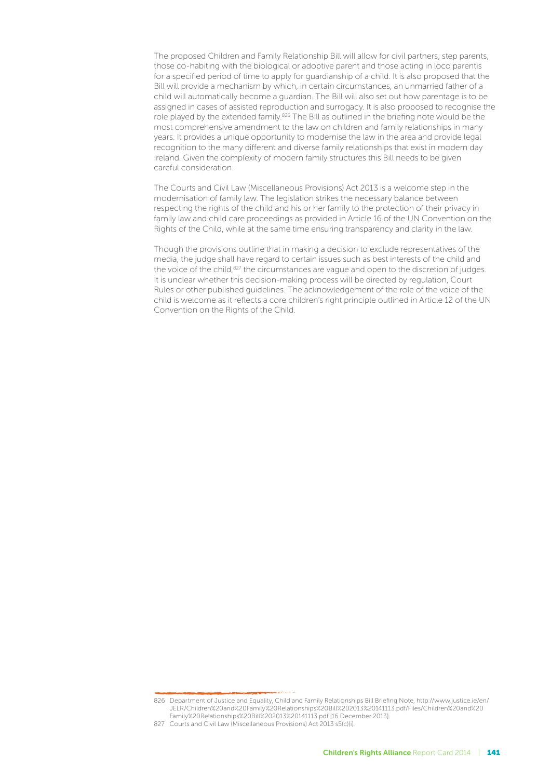The proposed Children and Family Relationship Bill will allow for civil partners, step parents, those co-habiting with the biological or adoptive parent and those acting in loco parentis for a specified period of time to apply for guardianship of a child. It is also proposed that the Bill will provide a mechanism by which, in certain circumstances, an unmarried father of a child will automatically become a guardian. The Bill will also set out how parentage is to be assigned in cases of assisted reproduction and surrogacy. It is also proposed to recognise the role played by the extended family.<sup>826</sup> The Bill as outlined in the briefing note would be the most comprehensive amendment to the law on children and family relationships in many years. It provides a unique opportunity to modernise the law in the area and provide legal recognition to the many different and diverse family relationships that exist in modern day Ireland. Given the complexity of modern family structures this Bill needs to be given careful consideration.

The Courts and Civil Law (Miscellaneous Provisions) Act 2013 is a welcome step in the modernisation of family law. The legislation strikes the necessary balance between respecting the rights of the child and his or her family to the protection of their privacy in family law and child care proceedings as provided in Article 16 of the UN Convention on the Rights of the Child, while at the same time ensuring transparency and clarity in the law.

Though the provisions outline that in making a decision to exclude representatives of the media, the judge shall have regard to certain issues such as best interests of the child and the voice of the child,<sup>827</sup> the circumstances are vague and open to the discretion of judges. It is unclear whether this decision-making process will be directed by regulation, Court Rules or other published guidelines. The acknowledgement of the role of the voice of the child is welcome as it reflects a core children's right principle outlined in Article 12 of the UN Convention on the Rights of the Child.

<sup>826</sup> Department of Justice and Equality, Child and Family Relationships Bill Briefing Note, http://www.justice.ie/en/ JELR/Children%20and%20Family%20Relationships%20Bill%202013%20141113.pdf/Files/Children%20and%20 Family%20Relationships%20Bill%202013%20141113.pdf [16 December 2013].

<sup>827</sup> Courts and Civil Law (Miscellaneous Provisions) Act 2013 s5(c)(i).